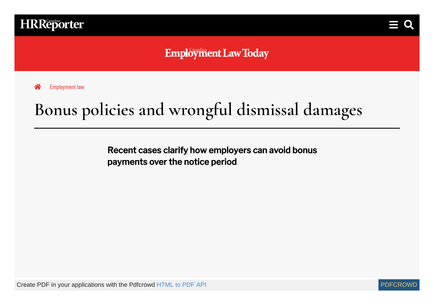



**Employment Law Today** 

**谷** [Employment](https://www.hrreporter.com/employment-law/news) law

# **Bonus policies and wrongful dismissal damages**

Recent cases clarify how employers can avoid bonus payments over the notice period

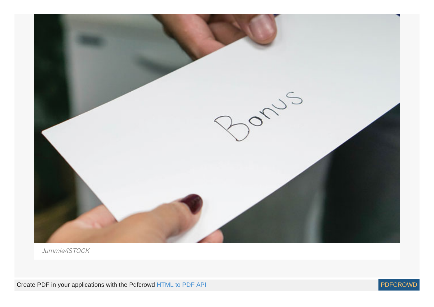

Jummie/iSTOCK

Create PDF in your applications with the Pdfcrowd [HTML to PDF API](https://pdfcrowd.com/doc/api/?ref=pdf) [PDFCROWD](https://pdfcrowd.com/?ref=pdf)

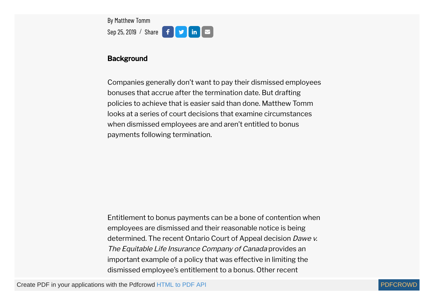By Matthew Tomm Sep 25, 2019 / Share  $f \circ f$  in  $\infty$ 

#### **Background**

Companies generally don't want to pay their dismissed employees bonuses that accrue after the termination date. But drafting policies to achieve that is easier said than done. Matthew Tomm looks at a series of court decisions that examine circumstances when dismissed employees are and aren't entitled to bonus payments following termination.

Entitlement to bonus payments can be a bone of contention when employees are dismissed and their reasonable notice is being determined. The recent Ontario Court of Appeal decision Dawe v. The Equitable Life Insurance Company of Canada provides an important example of a policy that was effective in limiting the dismissed employee's entitlement to a bonus. Other recent

Create PDF in your applications with the Pdfcrowd [HTML to PDF API](https://pdfcrowd.com/doc/api/?ref=pdf) [PDFCROWD](https://pdfcrowd.com/?ref=pdf) AT A PUT API PDFCROWD BE A PUT API

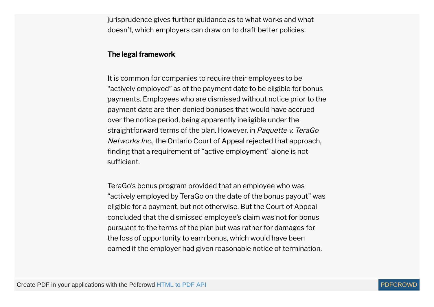jurisprudence gives further guidance as to what works and what doesn't, which employers can draw on to draft better policies.

#### The legal framework

It is common for companies to require their employees to be "actively employed" as of the payment date to be eligible for bonus payments. Employees who are dismissed without notice prior to the payment date are then denied bonuses that would have accrued over the notice period, being apparently ineligible under the straightforward terms of the plan. However, in Paquette v. TeraGo Networks Inc., the Ontario Court of Appeal rejected that approach, finding that a requirement of "active employment" alone is not sufficient.

TeraGo's bonus program provided that an employee who was "actively employed by TeraGo on the date of the bonus payout" was eligible for a payment, but not otherwise. But the Court of Appeal concluded that the dismissed employee's claim was not for bonus pursuant to the terms of the plan but was rather for damages for the loss of opportunity to earn bonus, which would have been earned if the employer had given reasonable notice of termination.

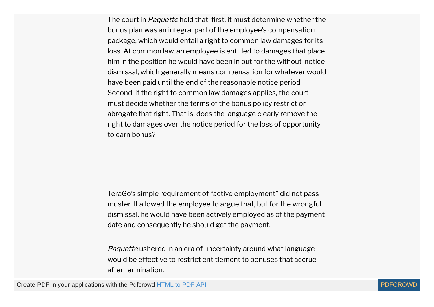The court in *Paquette* held that, first, it must determine whether the bonus plan was an integral part of the employee's compensation package, which would entail a right to common law damages for its loss. At common law, an employee is entitled to damages that place him in the position he would have been in but for the without-notice dismissal, which generally means compensation for whatever would have been paid until the end of the reasonable notice period. Second, if the right to common law damages applies, the court must decide whether the terms of the bonus policy restrict or abrogate that right. That is, does the language clearly remove the right to damages over the notice period for the loss of opportunity to earn bonus?

TeraGo's simple requirement of "active employment" did not pass muster. It allowed the employee to argue that, but for the wrongful dismissal, he would have been actively employed as of the payment date and consequently he should get the payment.

Paquette ushered in an era of uncertainty around what language would be effective to restrict entitlement to bonuses that accrue after termination.

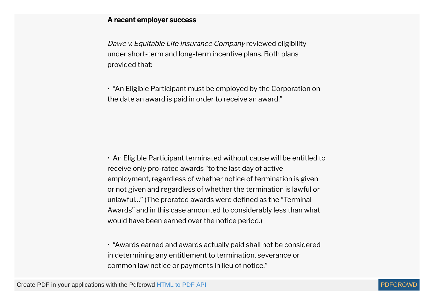#### A recent employer success

Dawe v. Equitable Life Insurance Company reviewed eligibility under short-term and long-term incentive plans. Both plans provided that:

• "An Eligible Participant must be employed by the Corporation on the date an award is paid in order to receive an award."

• An Eligible Participant terminated without cause will be entitled to receive only pro-rated awards "to the last day of active employment, regardless of whether notice of termination is given or not given and regardless of whether the termination is lawful or unlawful..." (The prorated awards were defined as the "Terminal Awards" and in this case amounted to considerably less than what would have been earned over the notice period.)

• "Awards earned and awards actually paid shall not be considered in determining any entitlement to termination, severance or common law notice or payments in lieu of notice."

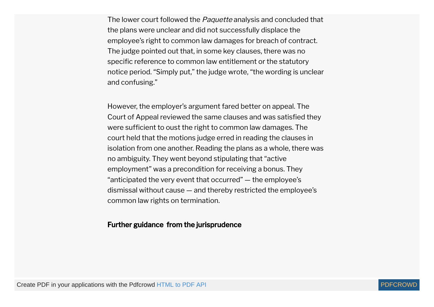The lower court followed the *Paquette* analysis and concluded that the plans were unclear and did not successfully displace the employee's right to common law damages for breach of contract. The judge pointed out that, in some key clauses, there was no specific reference to common law entitlement or the statutory notice period. "Simply put," the judge wrote, "the wording is unclear and confusing."

However, the employer's argument fared better on appeal. The Court of Appeal reviewed the same clauses and was satisfied they were sufficient to oust the right to common law damages. The court held that the motions judge erred in reading the clauses in isolation from one another. Reading the plans as a whole, there was no ambiguity. They went beyond stipulating that "active employment" was a precondition for receiving a bonus. They "anticipated the very event that occurred" — the employee's dismissal without cause — and thereby restricted the employee's common law rights on termination.

#### Further guidance from the jurisprudence

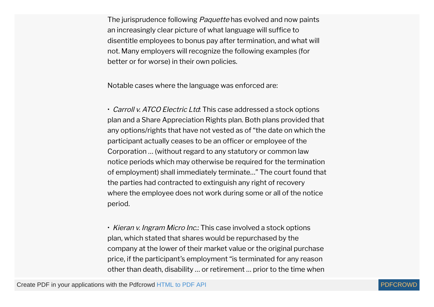The jurisprudence following *Paquette* has evolved and now paints an increasingly clear picture of what language will suffice to disentitle employees to bonus pay after termination, and what will not. Many employers will recognize the following examples (for better or for worse) in their own policies.

Notable cases where the language was enforced are:

• Carroll v. ATCO Electric Ltd: This case addressed a stock options plan and a Share Appreciation Rights plan. Both plans provided that any options/rights that have not vested as of "the date on which the participant actually ceases to be an officer or employee of the Corporation … (without regard to any statutory or common law notice periods which may otherwise be required for the termination of employment) shall immediately terminate…" The court found that the parties had contracted to extinguish any right of recovery where the employee does not work during some or all of the notice period.

• Kieran v. Ingram Micro Inc.: This case involved a stock options plan, which stated that shares would be repurchased by the company at the lower of their market value or the original purchase price, if the participant's employment "is terminated for any reason other than death, disability … or retirement … prior to the time when

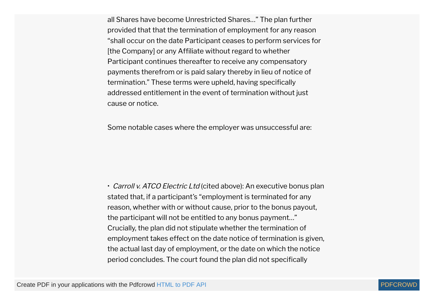all Shares have become Unrestricted Shares…" The plan further provided that that the termination of employment for any reason "shall occur on the date Participant ceases to perform services for [the Company] or any Affiliate without regard to whether Participant continues thereafter to receive any compensatory payments therefrom or is paid salary thereby in lieu of notice of termination." These terms were upheld, having specifically addressed entitlement in the event of termination without just cause or notice.

Some notable cases where the employer was unsuccessful are:

• Carroll v. ATCO Electric Ltd (cited above): An executive bonus plan stated that, if a participant's "employment is terminated for any reason, whether with or without cause, prior to the bonus payout, the participant will not be entitled to any bonus payment…" Crucially, the plan did not stipulate whether the termination of employment takes effect on the date notice of termination is given, the actual last day of employment, or the date on which the notice period concludes. The court found the plan did not specifically

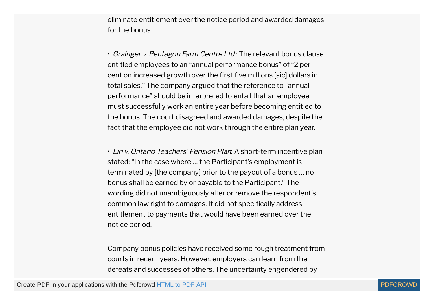eliminate entitlement over the notice period and awarded damages for the bonus.

• Grainger v. Pentagon Farm Centre Ltd.: The relevant bonus clause entitled employees to an "annual performance bonus" of "2 per cent on increased growth over the first five millions [sic] dollars in total sales." The company argued that the reference to "annual performance" should be interpreted to entail that an employee must successfully work an entire year before becoming entitled to the bonus. The court disagreed and awarded damages, despite the fact that the employee did not work through the entire plan year.

• Lin v. Ontario Teachers' Pension Plan: A short-term incentive plan stated: "In the case where … the Participant's employment is terminated by [the company] prior to the payout of a bonus … no bonus shall be earned by or payable to the Participant." The wording did not unambiguously alter or remove the respondent's common law right to damages. It did not specifically address entitlement to payments that would have been earned over the notice period.

Company bonus policies have received some rough treatment from courts in recent years. However, employers can learn from the defeats and successes of others. The uncertainty engendered by

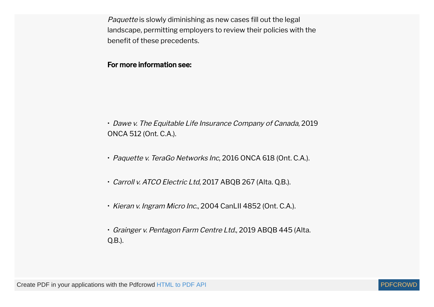Paquette is slowly diminishing as new cases fill out the legal landscape, permitting employers to review their policies with the benefit of these precedents.

### For more information see:

• Dawe v. The Equitable Life Insurance Company of Canada, 2019 ONCA 512 (Ont. C.A.).

- Paquette v. TeraGo Networks Inc, 2016 ONCA 618 (Ont. C.A.).
- Carroll v. ATCO Electric Ltd, 2017 ABQB 267 (Alta. Q.B.).
- Kieran v. Ingram Micro Inc., 2004 CanLII 4852 (Ont. C.A.).
- Grainger v. Pentagon Farm Centre Ltd., 2019 ABQB 445 (Alta. Q.B.).

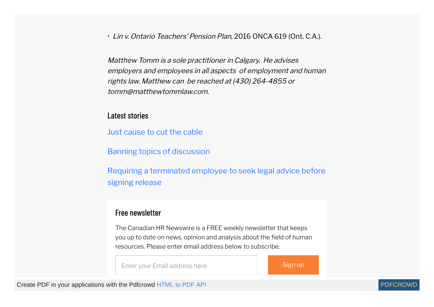• Lin v. Ontario Teachers' Pension Plan, 2016 ONCA 619 (Ont. C.A.).

Matthew Tomm is <sup>a</sup> sole practitioner in Calgary. He advises employers and employees in all aspects of employment and human rights law. Matthew can be reached at (430) 264-4855 or tomm@matthewtommlaw.com.

#### Latest stories

Just [cause](https://www.hrreporter.com/employment-law/news/just-cause-to-cut-the-cable/323642) to cut the cable

Banning topics of [discussion](https://www.hrreporter.com/employment-law/news/banning-topics-of-discussion/323641)

Requiring a [terminated](https://www.hrreporter.com/employment-law/news/requiring-a-terminated-employee-to-seek-legal-advice-before-signing-release/323640) employee to seek legal advice before signing release

## Free newsletter

The Canadian HR Newswire is a FREE weekly newsletter that keeps you up to date on news, opinion and analysis about the field of human resources. Please enter email address below to subscribe.

Enter your Email address here Sign up

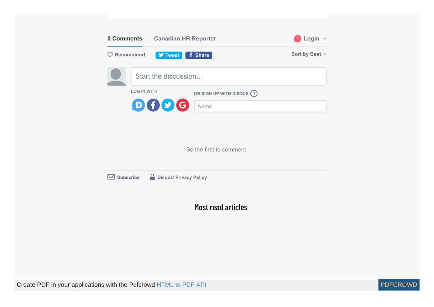| 0 Comments             | <b>Canadian HR Reporter</b>                      | Login -        |
|------------------------|--------------------------------------------------|----------------|
| $\heartsuit$ Recommend | <b>V</b> Tweet<br>f Share                        | Sort by Best - |
|                        | Start the discussion                             |                |
|                        | <b>LOG IN WITH</b><br>OR SIGN UP WITH DISQUS (?) |                |
|                        | D(f)<br>Name                                     |                |

Be the first to comment.



Most read articles

Create PDF in your applications with the Pdfcrowd [HTML to PDF API](https://pdfcrowd.com/doc/api/?ref=pdf) [PDFCROWD](https://pdfcrowd.com/?ref=pdf)